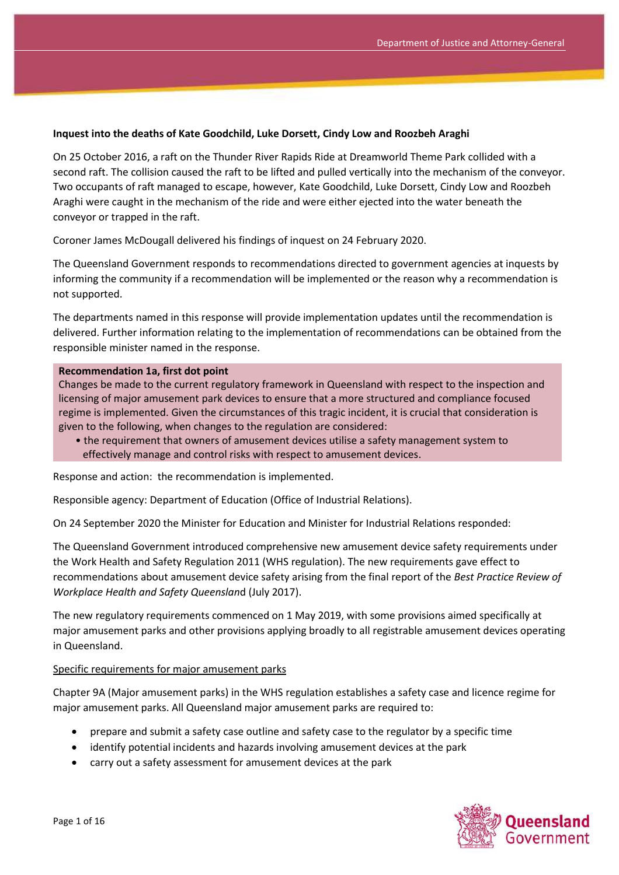#### **Inquest into the deaths of Kate Goodchild, Luke Dorsett, Cindy Low and Roozbeh Araghi**

On 25 October 2016, a raft on the Thunder River Rapids Ride at Dreamworld Theme Park collided with a second raft. The collision caused the raft to be lifted and pulled vertically into the mechanism of the conveyor. Two occupants of raft managed to escape, however, Kate Goodchild, Luke Dorsett, Cindy Low and Roozbeh Araghi were caught in the mechanism of the ride and were either ejected into the water beneath the conveyor or trapped in the raft.

Coroner James McDougall delivered his findings of inquest on 24 February 2020.

The Queensland Government responds to recommendations directed to government agencies at inquests by informing the community if a recommendation will be implemented or the reason why a recommendation is not supported.

The departments named in this response will provide implementation updates until the recommendation is delivered. Further information relating to the implementation of recommendations can be obtained from the responsible minister named in the response.

#### **Recommendation 1a, first dot point**

Changes be made to the current regulatory framework in Queensland with respect to the inspection and licensing of major amusement park devices to ensure that a more structured and compliance focused regime is implemented. Given the circumstances of this tragic incident, it is crucial that consideration is given to the following, when changes to the regulation are considered:

• the requirement that owners of amusement devices utilise a safety management system to effectively manage and control risks with respect to amusement devices.

Response and action: the recommendation is implemented.

Responsible agency: Department of Education (Office of Industrial Relations).

On 24 September 2020 the Minister for Education and Minister for Industrial Relations responded:

The Queensland Government introduced comprehensive new amusement device safety requirements under the Work Health and Safety Regulation 2011 (WHS regulation). The new requirements gave effect to recommendations about amusement device safety arising from the final report of the *Best Practice Review of Workplace Health and Safety Queenslan*d (July 2017).

The new regulatory requirements commenced on 1 May 2019, with some provisions aimed specifically at major amusement parks and other provisions applying broadly to all registrable amusement devices operating in Queensland.

#### Specific requirements for major amusement parks

Chapter 9A (Major amusement parks) in the WHS regulation establishes a safety case and licence regime for major amusement parks. All Queensland major amusement parks are required to:

- prepare and submit a safety case outline and safety case to the regulator by a specific time
- identify potential incidents and hazards involving amusement devices at the park
- carry out a safety assessment for amusement devices at the park

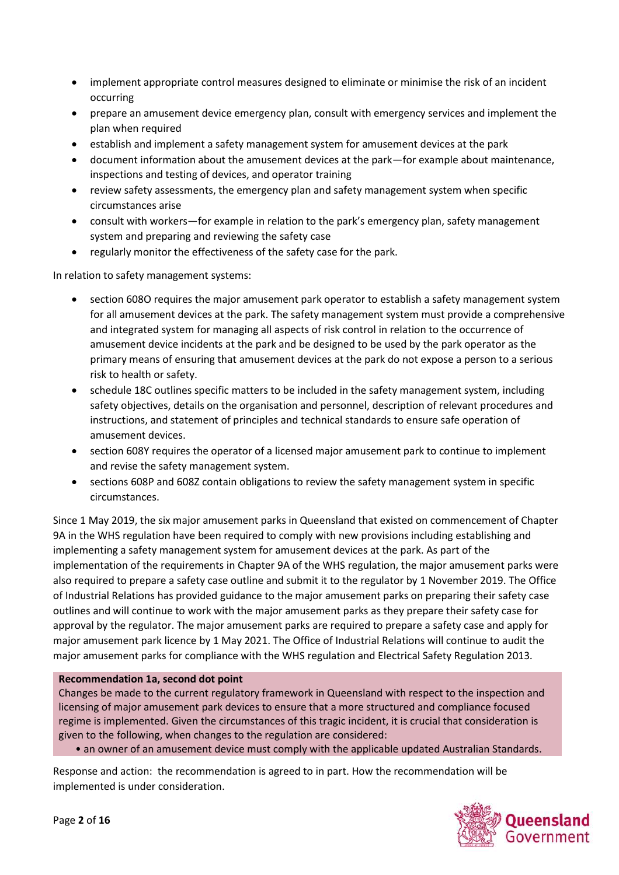- implement appropriate control measures designed to eliminate or minimise the risk of an incident occurring
- prepare an amusement device emergency plan, consult with emergency services and implement the plan when required
- establish and implement a safety management system for amusement devices at the park
- document information about the amusement devices at the park—for example about maintenance, inspections and testing of devices, and operator training
- review safety assessments, the emergency plan and safety management system when specific circumstances arise
- consult with workers—for example in relation to the park's emergency plan, safety management system and preparing and reviewing the safety case
- regularly monitor the effectiveness of the safety case for the park.

In relation to safety management systems:

- section 608O requires the major amusement park operator to establish a safety management system for all amusement devices at the park. The safety management system must provide a comprehensive and integrated system for managing all aspects of risk control in relation to the occurrence of amusement device incidents at the park and be designed to be used by the park operator as the primary means of ensuring that amusement devices at the park do not expose a person to a serious risk to health or safety.
- schedule 18C outlines specific matters to be included in the safety management system, including safety objectives, details on the organisation and personnel, description of relevant procedures and instructions, and statement of principles and technical standards to ensure safe operation of amusement devices.
- section 608Y requires the operator of a licensed major amusement park to continue to implement and revise the safety management system.
- sections 608P and 608Z contain obligations to review the safety management system in specific circumstances.

Since 1 May 2019, the six major amusement parks in Queensland that existed on commencement of Chapter 9A in the WHS regulation have been required to comply with new provisions including establishing and implementing a safety management system for amusement devices at the park. As part of the implementation of the requirements in Chapter 9A of the WHS regulation, the major amusement parks were also required to prepare a safety case outline and submit it to the regulator by 1 November 2019. The Office of Industrial Relations has provided guidance to the major amusement parks on preparing their safety case outlines and will continue to work with the major amusement parks as they prepare their safety case for approval by the regulator. The major amusement parks are required to prepare a safety case and apply for major amusement park licence by 1 May 2021. The Office of Industrial Relations will continue to audit the major amusement parks for compliance with the WHS regulation and Electrical Safety Regulation 2013*.*

### **Recommendation 1a, second dot point**

Changes be made to the current regulatory framework in Queensland with respect to the inspection and licensing of major amusement park devices to ensure that a more structured and compliance focused regime is implemented. Given the circumstances of this tragic incident, it is crucial that consideration is given to the following, when changes to the regulation are considered:

• an owner of an amusement device must comply with the applicable updated Australian Standards.

Response and action: the recommendation is agreed to in part. How the recommendation will be implemented is under consideration.

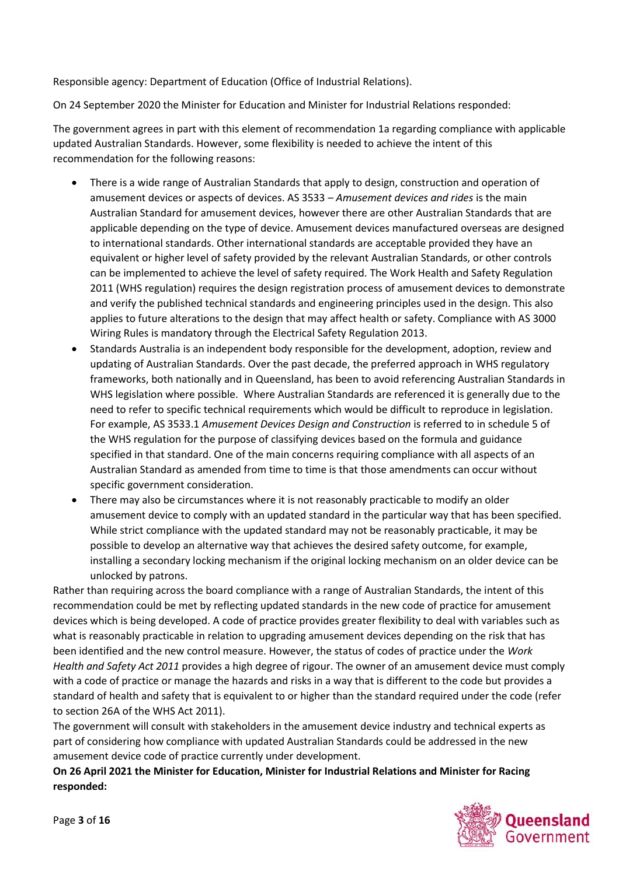Responsible agency: Department of Education (Office of Industrial Relations).

On 24 September 2020 the Minister for Education and Minister for Industrial Relations responded:

The government agrees in part with this element of recommendation 1a regarding compliance with applicable updated Australian Standards. However, some flexibility is needed to achieve the intent of this recommendation for the following reasons:

- There is a wide range of Australian Standards that apply to design, construction and operation of amusement devices or aspects of devices. AS 3533 – *Amusement devices and rides* is the main Australian Standard for amusement devices, however there are other Australian Standards that are applicable depending on the type of device. Amusement devices manufactured overseas are designed to international standards. Other international standards are acceptable provided they have an equivalent or higher level of safety provided by the relevant Australian Standards, or other controls can be implemented to achieve the level of safety required. The Work Health and Safety Regulation 2011 (WHS regulation) requires the design registration process of amusement devices to demonstrate and verify the published technical standards and engineering principles used in the design. This also applies to future alterations to the design that may affect health or safety. Compliance with AS 3000 Wiring Rules is mandatory through the Electrical Safety Regulation 2013.
- Standards Australia is an independent body responsible for the development, adoption, review and updating of Australian Standards. Over the past decade, the preferred approach in WHS regulatory frameworks, both nationally and in Queensland, has been to avoid referencing Australian Standards in WHS legislation where possible. Where Australian Standards are referenced it is generally due to the need to refer to specific technical requirements which would be difficult to reproduce in legislation. For example, AS 3533.1 *Amusement Devices Design and Construction* is referred to in schedule 5 of the WHS regulation for the purpose of classifying devices based on the formula and guidance specified in that standard. One of the main concerns requiring compliance with all aspects of an Australian Standard as amended from time to time is that those amendments can occur without specific government consideration.
- There may also be circumstances where it is not reasonably practicable to modify an older amusement device to comply with an updated standard in the particular way that has been specified. While strict compliance with the updated standard may not be reasonably practicable, it may be possible to develop an alternative way that achieves the desired safety outcome, for example, installing a secondary locking mechanism if the original locking mechanism on an older device can be unlocked by patrons.

Rather than requiring across the board compliance with a range of Australian Standards, the intent of this recommendation could be met by reflecting updated standards in the new code of practice for amusement devices which is being developed. A code of practice provides greater flexibility to deal with variables such as what is reasonably practicable in relation to upgrading amusement devices depending on the risk that has been identified and the new control measure. However, the status of codes of practice under the *Work Health and Safety Act 2011* provides a high degree of rigour. The owner of an amusement device must comply with a code of practice or manage the hazards and risks in a way that is different to the code but provides a standard of health and safety that is equivalent to or higher than the standard required under the code (refer to section 26A of the WHS Act 2011).

The government will consult with stakeholders in the amusement device industry and technical experts as part of considering how compliance with updated Australian Standards could be addressed in the new amusement device code of practice currently under development.

### **On 26 April 2021 the Minister for Education, Minister for Industrial Relations and Minister for Racing responded:**

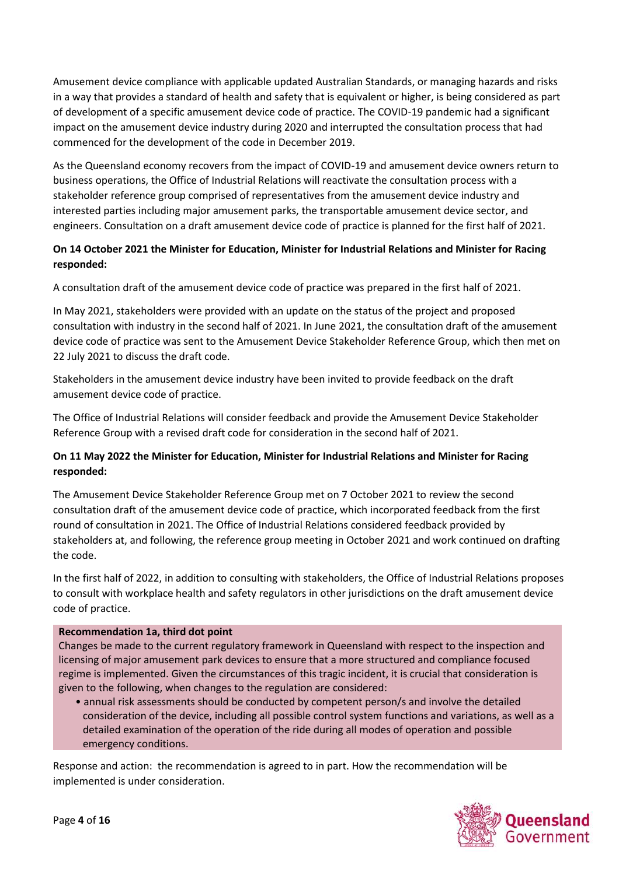Amusement device compliance with applicable updated Australian Standards, or managing hazards and risks in a way that provides a standard of health and safety that is equivalent or higher, is being considered as part of development of a specific amusement device code of practice. The COVID-19 pandemic had a significant impact on the amusement device industry during 2020 and interrupted the consultation process that had commenced for the development of the code in December 2019.

As the Queensland economy recovers from the impact of COVID-19 and amusement device owners return to business operations, the Office of Industrial Relations will reactivate the consultation process with a stakeholder reference group comprised of representatives from the amusement device industry and interested parties including major amusement parks, the transportable amusement device sector, and engineers. Consultation on a draft amusement device code of practice is planned for the first half of 2021.

# **On 14 October 2021 the Minister for Education, Minister for Industrial Relations and Minister for Racing responded:**

A consultation draft of the amusement device code of practice was prepared in the first half of 2021.

In May 2021, stakeholders were provided with an update on the status of the project and proposed consultation with industry in the second half of 2021. In June 2021, the consultation draft of the amusement device code of practice was sent to the Amusement Device Stakeholder Reference Group, which then met on 22 July 2021 to discuss the draft code.

Stakeholders in the amusement device industry have been invited to provide feedback on the draft amusement device code of practice.

The Office of Industrial Relations will consider feedback and provide the Amusement Device Stakeholder Reference Group with a revised draft code for consideration in the second half of 2021.

# **On 11 May 2022 the Minister for Education, Minister for Industrial Relations and Minister for Racing responded:**

The Amusement Device Stakeholder Reference Group met on 7 October 2021 to review the second consultation draft of the amusement device code of practice, which incorporated feedback from the first round of consultation in 2021. The Office of Industrial Relations considered feedback provided by stakeholders at, and following, the reference group meeting in October 2021 and work continued on drafting the code.

In the first half of 2022, in addition to consulting with stakeholders, the Office of Industrial Relations proposes to consult with workplace health and safety regulators in other jurisdictions on the draft amusement device code of practice.

# **Recommendation 1a, third dot point**

Changes be made to the current regulatory framework in Queensland with respect to the inspection and licensing of major amusement park devices to ensure that a more structured and compliance focused regime is implemented. Given the circumstances of this tragic incident, it is crucial that consideration is given to the following, when changes to the regulation are considered:

• annual risk assessments should be conducted by competent person/s and involve the detailed consideration of the device, including all possible control system functions and variations, as well as a detailed examination of the operation of the ride during all modes of operation and possible emergency conditions.

Response and action: the recommendation is agreed to in part. How the recommendation will be implemented is under consideration.

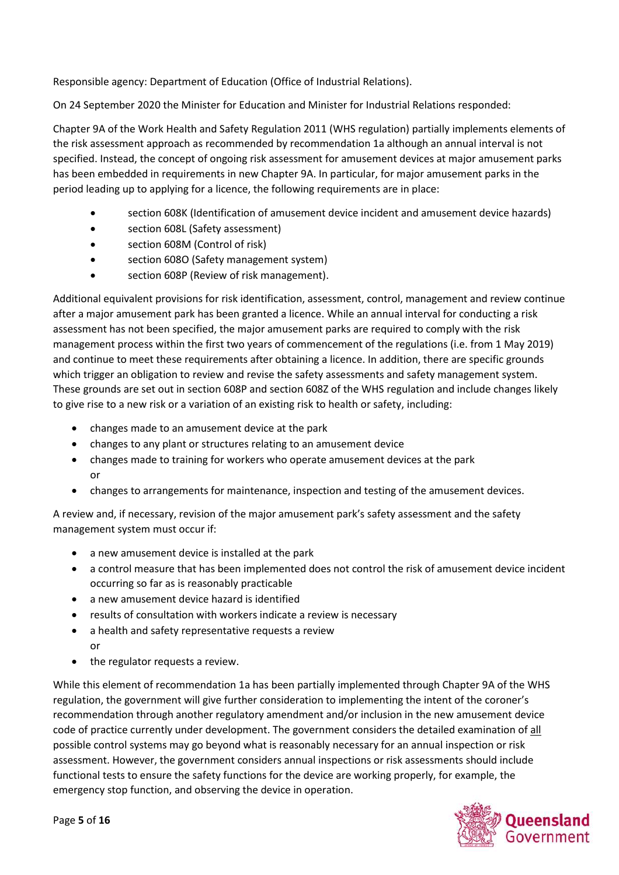Responsible agency: Department of Education (Office of Industrial Relations).

On 24 September 2020 the Minister for Education and Minister for Industrial Relations responded:

Chapter 9A of the Work Health and Safety Regulation 2011 (WHS regulation) partially implements elements of the risk assessment approach as recommended by recommendation 1a although an annual interval is not specified. Instead, the concept of ongoing risk assessment for amusement devices at major amusement parks has been embedded in requirements in new Chapter 9A. In particular, for major amusement parks in the period leading up to applying for a licence, the following requirements are in place:

- section 608K (Identification of amusement device incident and amusement device hazards)
- section 608L (Safety assessment)
- section 608M (Control of risk)
- section 608O (Safety management system)
- section 608P (Review of risk management).

Additional equivalent provisions for risk identification, assessment, control, management and review continue after a major amusement park has been granted a licence. While an annual interval for conducting a risk assessment has not been specified, the major amusement parks are required to comply with the risk management process within the first two years of commencement of the regulations (i.e. from 1 May 2019) and continue to meet these requirements after obtaining a licence. In addition, there are specific grounds which trigger an obligation to review and revise the safety assessments and safety management system. These grounds are set out in section 608P and section 608Z of the WHS regulation and include changes likely to give rise to a new risk or a variation of an existing risk to health or safety, including:

- changes made to an amusement device at the park
- changes to any plant or structures relating to an amusement device
- changes made to training for workers who operate amusement devices at the park or
- changes to arrangements for maintenance, inspection and testing of the amusement devices.

A review and, if necessary, revision of the major amusement park's safety assessment and the safety management system must occur if:

- a new amusement device is installed at the park
- a control measure that has been implemented does not control the risk of amusement device incident occurring so far as is reasonably practicable
- a new amusement device hazard is identified
- results of consultation with workers indicate a review is necessary
- a health and safety representative requests a review or
- the regulator requests a review.

While this element of recommendation 1a has been partially implemented through Chapter 9A of the WHS regulation, the government will give further consideration to implementing the intent of the coroner's recommendation through another regulatory amendment and/or inclusion in the new amusement device code of practice currently under development. The government considers the detailed examination of all possible control systems may go beyond what is reasonably necessary for an annual inspection or risk assessment. However, the government considers annual inspections or risk assessments should include functional tests to ensure the safety functions for the device are working properly, for example, the emergency stop function, and observing the device in operation.

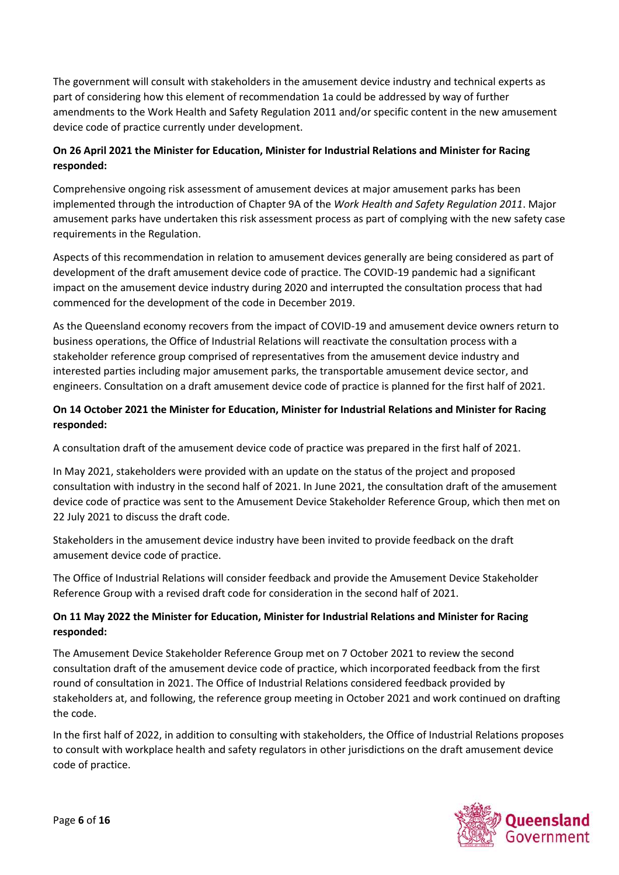The government will consult with stakeholders in the amusement device industry and technical experts as part of considering how this element of recommendation 1a could be addressed by way of further amendments to the Work Health and Safety Regulation 2011 and/or specific content in the new amusement device code of practice currently under development.

# **On 26 April 2021 the Minister for Education, Minister for Industrial Relations and Minister for Racing responded:**

Comprehensive ongoing risk assessment of amusement devices at major amusement parks has been implemented through the introduction of Chapter 9A of the *Work Health and Safety Regulation 2011*. Major amusement parks have undertaken this risk assessment process as part of complying with the new safety case requirements in the Regulation.

Aspects of this recommendation in relation to amusement devices generally are being considered as part of development of the draft amusement device code of practice. The COVID-19 pandemic had a significant impact on the amusement device industry during 2020 and interrupted the consultation process that had commenced for the development of the code in December 2019.

As the Queensland economy recovers from the impact of COVID-19 and amusement device owners return to business operations, the Office of Industrial Relations will reactivate the consultation process with a stakeholder reference group comprised of representatives from the amusement device industry and interested parties including major amusement parks, the transportable amusement device sector, and engineers. Consultation on a draft amusement device code of practice is planned for the first half of 2021.

# **On 14 October 2021 the Minister for Education, Minister for Industrial Relations and Minister for Racing responded:**

A consultation draft of the amusement device code of practice was prepared in the first half of 2021.

In May 2021, stakeholders were provided with an update on the status of the project and proposed consultation with industry in the second half of 2021. In June 2021, the consultation draft of the amusement device code of practice was sent to the Amusement Device Stakeholder Reference Group, which then met on 22 July 2021 to discuss the draft code.

Stakeholders in the amusement device industry have been invited to provide feedback on the draft amusement device code of practice.

The Office of Industrial Relations will consider feedback and provide the Amusement Device Stakeholder Reference Group with a revised draft code for consideration in the second half of 2021.

# **On 11 May 2022 the Minister for Education, Minister for Industrial Relations and Minister for Racing responded:**

The Amusement Device Stakeholder Reference Group met on 7 October 2021 to review the second consultation draft of the amusement device code of practice, which incorporated feedback from the first round of consultation in 2021. The Office of Industrial Relations considered feedback provided by stakeholders at, and following, the reference group meeting in October 2021 and work continued on drafting the code.

In the first half of 2022, in addition to consulting with stakeholders, the Office of Industrial Relations proposes to consult with workplace health and safety regulators in other jurisdictions on the draft amusement device code of practice.

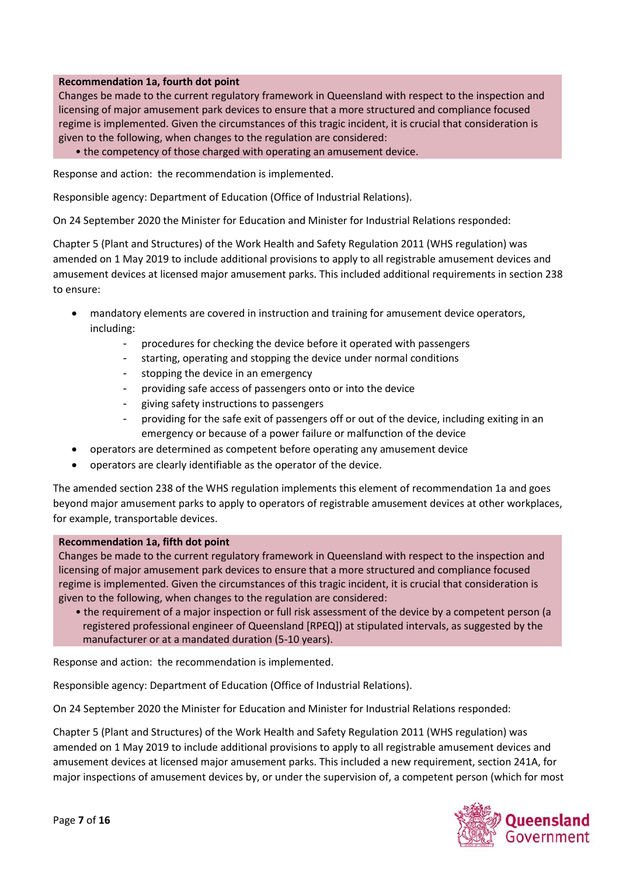### **Recommendation 1a, fourth dot point**

Changes be made to the current regulatory framework in Queensland with respect to the inspection and licensing of major amusement park devices to ensure that a more structured and compliance focused regime is implemented. Given the circumstances of this tragic incident, it is crucial that consideration is given to the following, when changes to the regulation are considered:

• the competency of those charged with operating an amusement device.

Response and action: the recommendation is implemented.

Responsible agency: Department of Education (Office of Industrial Relations).

On 24 September 2020 the Minister for Education and Minister for Industrial Relations responded:

Chapter 5 (Plant and Structures) of the Work Health and Safety Regulation 2011 (WHS regulation) was amended on 1 May 2019 to include additional provisions to apply to all registrable amusement devices and amusement devices at licensed major amusement parks. This included additional requirements in section 238 to ensure:

- mandatory elements are covered in instruction and training for amusement device operators, including:
	- procedures for checking the device before it operated with passengers
	- starting, operating and stopping the device under normal conditions
	- stopping the device in an emergency
	- providing safe access of passengers onto or into the device
	- giving safety instructions to passengers
	- providing for the safe exit of passengers off or out of the device, including exiting in an emergency or because of a power failure or malfunction of the device
- operators are determined as competent before operating any amusement device
- operators are clearly identifiable as the operator of the device.

The amended section 238 of the WHS regulation implements this element of recommendation 1a and goes beyond major amusement parks to apply to operators of registrable amusement devices at other workplaces, for example, transportable devices.

### **Recommendation 1a, fifth dot point**

Changes be made to the current regulatory framework in Queensland with respect to the inspection and licensing of major amusement park devices to ensure that a more structured and compliance focused regime is implemented. Given the circumstances of this tragic incident, it is crucial that consideration is given to the following, when changes to the regulation are considered:

• the requirement of a major inspection or full risk assessment of the device by a competent person (a registered professional engineer of Queensland [RPEQ]) at stipulated intervals, as suggested by the manufacturer or at a mandated duration (5-10 years).

Response and action: the recommendation is implemented.

Responsible agency: Department of Education (Office of Industrial Relations).

On 24 September 2020 the Minister for Education and Minister for Industrial Relations responded:

Chapter 5 (Plant and Structures) of the Work Health and Safety Regulation 2011 (WHS regulation) was amended on 1 May 2019 to include additional provisions to apply to all registrable amusement devices and amusement devices at licensed major amusement parks. This included a new requirement, section 241A, for major inspections of amusement devices by, or under the supervision of, a competent person (which for most

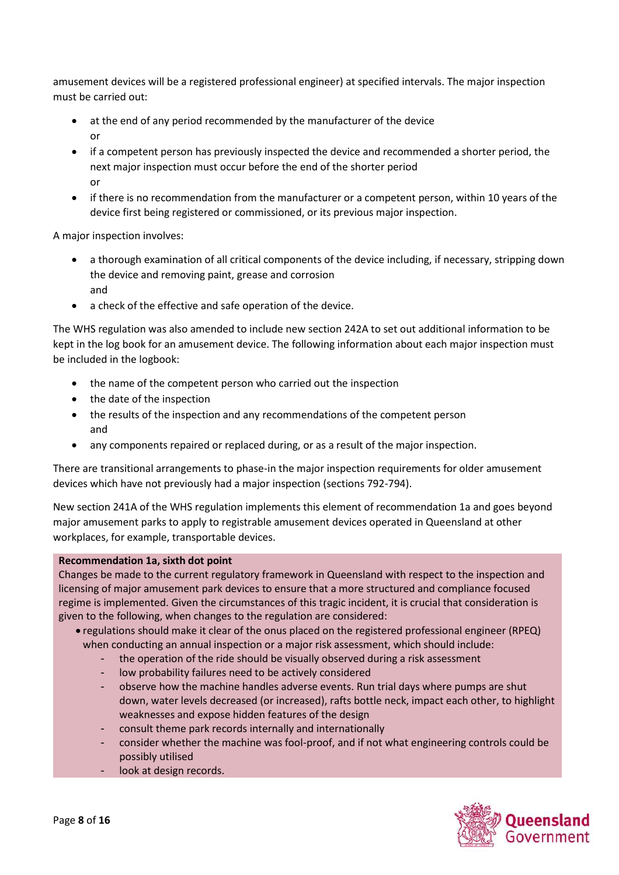amusement devices will be a registered professional engineer) at specified intervals. The major inspection must be carried out:

- at the end of any period recommended by the manufacturer of the device or
- if a competent person has previously inspected the device and recommended a shorter period, the next major inspection must occur before the end of the shorter period or
- if there is no recommendation from the manufacturer or a competent person, within 10 years of the device first being registered or commissioned, or its previous major inspection.

A major inspection involves:

- a thorough examination of all critical components of the device including, if necessary, stripping down the device and removing paint, grease and corrosion and
- a check of the effective and safe operation of the device.

The WHS regulation was also amended to include new section 242A to set out additional information to be kept in the log book for an amusement device. The following information about each major inspection must be included in the logbook:

- the name of the competent person who carried out the inspection
- the date of the inspection
- the results of the inspection and any recommendations of the competent person and
- any components repaired or replaced during, or as a result of the major inspection.

There are transitional arrangements to phase-in the major inspection requirements for older amusement devices which have not previously had a major inspection (sections 792-794).

New section 241A of the WHS regulation implements this element of recommendation 1a and goes beyond major amusement parks to apply to registrable amusement devices operated in Queensland at other workplaces, for example, transportable devices.

### **Recommendation 1a, sixth dot point**

Changes be made to the current regulatory framework in Queensland with respect to the inspection and licensing of major amusement park devices to ensure that a more structured and compliance focused regime is implemented. Given the circumstances of this tragic incident, it is crucial that consideration is given to the following, when changes to the regulation are considered:

- regulations should make it clear of the onus placed on the registered professional engineer (RPEQ) when conducting an annual inspection or a major risk assessment, which should include:
	- the operation of the ride should be visually observed during a risk assessment
	- low probability failures need to be actively considered
	- observe how the machine handles adverse events. Run trial days where pumps are shut down, water levels decreased (or increased), rafts bottle neck, impact each other, to highlight weaknesses and expose hidden features of the design
	- consult theme park records internally and internationally
	- consider whether the machine was fool-proof, and if not what engineering controls could be possibly utilised
	- look at design records.

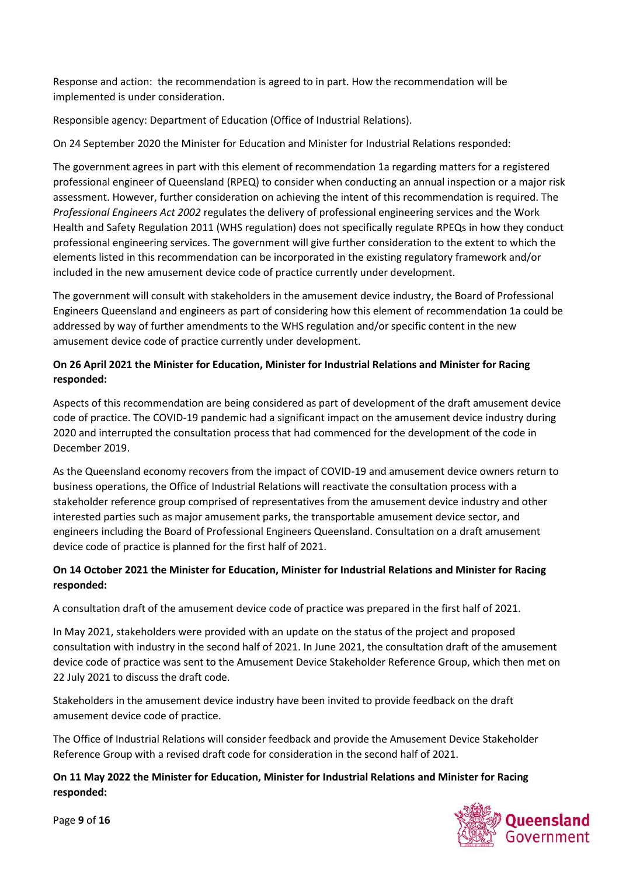Response and action: the recommendation is agreed to in part. How the recommendation will be implemented is under consideration.

Responsible agency: Department of Education (Office of Industrial Relations).

On 24 September 2020 the Minister for Education and Minister for Industrial Relations responded:

The government agrees in part with this element of recommendation 1a regarding matters for a registered professional engineer of Queensland (RPEQ) to consider when conducting an annual inspection or a major risk assessment. However, further consideration on achieving the intent of this recommendation is required. The *Professional Engineers Act 2002* regulates the delivery of professional engineering services and the Work Health and Safety Regulation 2011 (WHS regulation) does not specifically regulate RPEQs in how they conduct professional engineering services. The government will give further consideration to the extent to which the elements listed in this recommendation can be incorporated in the existing regulatory framework and/or included in the new amusement device code of practice currently under development.

The government will consult with stakeholders in the amusement device industry, the Board of Professional Engineers Queensland and engineers as part of considering how this element of recommendation 1a could be addressed by way of further amendments to the WHS regulation and/or specific content in the new amusement device code of practice currently under development.

# **On 26 April 2021 the Minister for Education, Minister for Industrial Relations and Minister for Racing responded:**

Aspects of this recommendation are being considered as part of development of the draft amusement device code of practice. The COVID-19 pandemic had a significant impact on the amusement device industry during 2020 and interrupted the consultation process that had commenced for the development of the code in December 2019.

As the Queensland economy recovers from the impact of COVID-19 and amusement device owners return to business operations, the Office of Industrial Relations will reactivate the consultation process with a stakeholder reference group comprised of representatives from the amusement device industry and other interested parties such as major amusement parks, the transportable amusement device sector, and engineers including the Board of Professional Engineers Queensland. Consultation on a draft amusement device code of practice is planned for the first half of 2021.

# **On 14 October 2021 the Minister for Education, Minister for Industrial Relations and Minister for Racing responded:**

A consultation draft of the amusement device code of practice was prepared in the first half of 2021.

In May 2021, stakeholders were provided with an update on the status of the project and proposed consultation with industry in the second half of 2021. In June 2021, the consultation draft of the amusement device code of practice was sent to the Amusement Device Stakeholder Reference Group, which then met on 22 July 2021 to discuss the draft code.

Stakeholders in the amusement device industry have been invited to provide feedback on the draft amusement device code of practice.

The Office of Industrial Relations will consider feedback and provide the Amusement Device Stakeholder Reference Group with a revised draft code for consideration in the second half of 2021.

**On 11 May 2022 the Minister for Education, Minister for Industrial Relations and Minister for Racing responded:**



Page **9** of **16**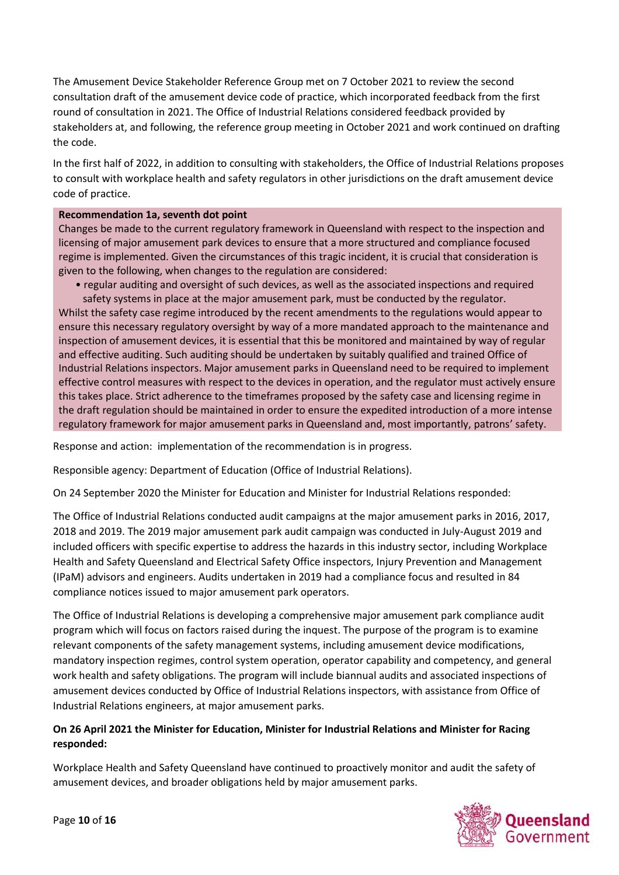The Amusement Device Stakeholder Reference Group met on 7 October 2021 to review the second consultation draft of the amusement device code of practice, which incorporated feedback from the first round of consultation in 2021. The Office of Industrial Relations considered feedback provided by stakeholders at, and following, the reference group meeting in October 2021 and work continued on drafting the code.

In the first half of 2022, in addition to consulting with stakeholders, the Office of Industrial Relations proposes to consult with workplace health and safety regulators in other jurisdictions on the draft amusement device code of practice.

### **Recommendation 1a, seventh dot point**

Changes be made to the current regulatory framework in Queensland with respect to the inspection and licensing of major amusement park devices to ensure that a more structured and compliance focused regime is implemented. Given the circumstances of this tragic incident, it is crucial that consideration is given to the following, when changes to the regulation are considered:

• regular auditing and oversight of such devices, as well as the associated inspections and required

safety systems in place at the major amusement park, must be conducted by the regulator. Whilst the safety case regime introduced by the recent amendments to the regulations would appear to ensure this necessary regulatory oversight by way of a more mandated approach to the maintenance and inspection of amusement devices, it is essential that this be monitored and maintained by way of regular and effective auditing. Such auditing should be undertaken by suitably qualified and trained Office of Industrial Relations inspectors. Major amusement parks in Queensland need to be required to implement effective control measures with respect to the devices in operation, and the regulator must actively ensure this takes place. Strict adherence to the timeframes proposed by the safety case and licensing regime in the draft regulation should be maintained in order to ensure the expedited introduction of a more intense regulatory framework for major amusement parks in Queensland and, most importantly, patrons' safety.

Response and action: implementation of the recommendation is in progress.

Responsible agency: Department of Education (Office of Industrial Relations).

On 24 September 2020 the Minister for Education and Minister for Industrial Relations responded:

The Office of Industrial Relations conducted audit campaigns at the major amusement parks in 2016, 2017, 2018 and 2019. The 2019 major amusement park audit campaign was conducted in July-August 2019 and included officers with specific expertise to address the hazards in this industry sector, including Workplace Health and Safety Queensland and Electrical Safety Office inspectors, Injury Prevention and Management (IPaM) advisors and engineers. Audits undertaken in 2019 had a compliance focus and resulted in 84 compliance notices issued to major amusement park operators.

The Office of Industrial Relations is developing a comprehensive major amusement park compliance audit program which will focus on factors raised during the inquest. The purpose of the program is to examine relevant components of the safety management systems, including amusement device modifications, mandatory inspection regimes, control system operation, operator capability and competency, and general work health and safety obligations. The program will include biannual audits and associated inspections of amusement devices conducted by Office of Industrial Relations inspectors, with assistance from Office of Industrial Relations engineers, at major amusement parks.

## **On 26 April 2021 the Minister for Education, Minister for Industrial Relations and Minister for Racing responded:**

Workplace Health and Safety Queensland have continued to proactively monitor and audit the safety of amusement devices, and broader obligations held by major amusement parks.

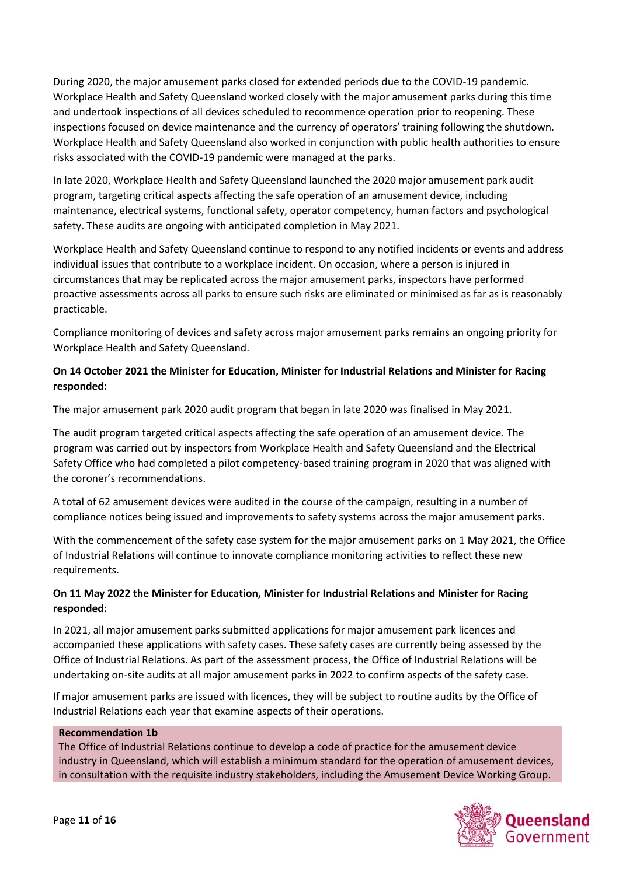During 2020, the major amusement parks closed for extended periods due to the COVID-19 pandemic. Workplace Health and Safety Queensland worked closely with the major amusement parks during this time and undertook inspections of all devices scheduled to recommence operation prior to reopening. These inspections focused on device maintenance and the currency of operators' training following the shutdown. Workplace Health and Safety Queensland also worked in conjunction with public health authorities to ensure risks associated with the COVID-19 pandemic were managed at the parks.

In late 2020, Workplace Health and Safety Queensland launched the 2020 major amusement park audit program, targeting critical aspects affecting the safe operation of an amusement device, including maintenance, electrical systems, functional safety, operator competency, human factors and psychological safety. These audits are ongoing with anticipated completion in May 2021.

Workplace Health and Safety Queensland continue to respond to any notified incidents or events and address individual issues that contribute to a workplace incident. On occasion, where a person is injured in circumstances that may be replicated across the major amusement parks, inspectors have performed proactive assessments across all parks to ensure such risks are eliminated or minimised as far as is reasonably practicable.

Compliance monitoring of devices and safety across major amusement parks remains an ongoing priority for Workplace Health and Safety Queensland.

# **On 14 October 2021 the Minister for Education, Minister for Industrial Relations and Minister for Racing responded:**

The major amusement park 2020 audit program that began in late 2020 was finalised in May 2021.

The audit program targeted critical aspects affecting the safe operation of an amusement device. The program was carried out by inspectors from Workplace Health and Safety Queensland and the Electrical Safety Office who had completed a pilot competency-based training program in 2020 that was aligned with the coroner's recommendations.

A total of 62 amusement devices were audited in the course of the campaign, resulting in a number of compliance notices being issued and improvements to safety systems across the major amusement parks.

With the commencement of the safety case system for the major amusement parks on 1 May 2021, the Office of Industrial Relations will continue to innovate compliance monitoring activities to reflect these new requirements.

## **On 11 May 2022 the Minister for Education, Minister for Industrial Relations and Minister for Racing responded:**

In 2021, all major amusement parks submitted applications for major amusement park licences and accompanied these applications with safety cases. These safety cases are currently being assessed by the Office of Industrial Relations. As part of the assessment process, the Office of Industrial Relations will be undertaking on-site audits at all major amusement parks in 2022 to confirm aspects of the safety case.

If major amusement parks are issued with licences, they will be subject to routine audits by the Office of Industrial Relations each year that examine aspects of their operations.

### **Recommendation 1b**

The Office of Industrial Relations continue to develop a code of practice for the amusement device industry in Queensland, which will establish a minimum standard for the operation of amusement devices, in consultation with the requisite industry stakeholders, including the Amusement Device Working Group.

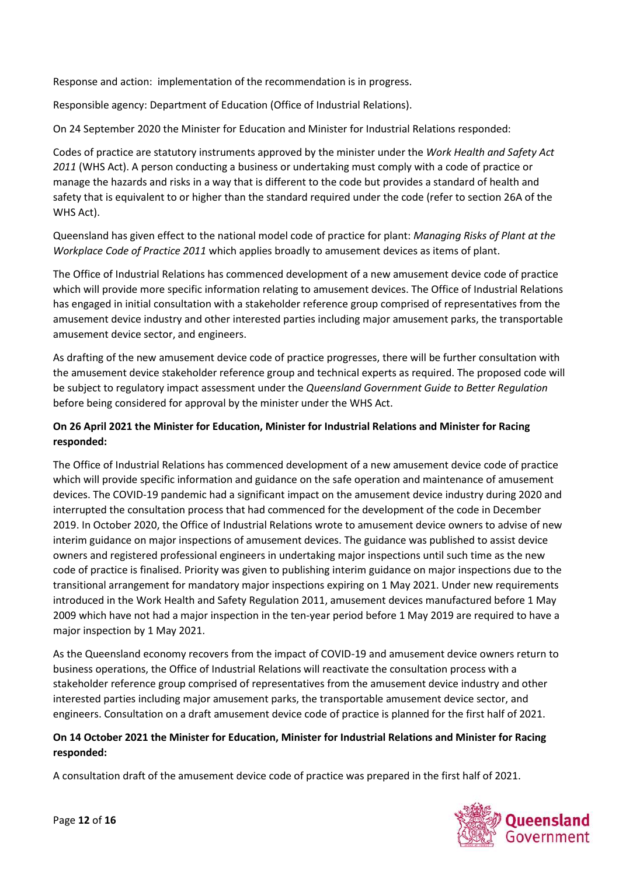Response and action: implementation of the recommendation is in progress.

Responsible agency: Department of Education (Office of Industrial Relations).

On 24 September 2020 the Minister for Education and Minister for Industrial Relations responded:

Codes of practice are statutory instruments approved by the minister under the *Work Health and Safety Act 2011* (WHS Act). A person conducting a business or undertaking must comply with a code of practice or manage the hazards and risks in a way that is different to the code but provides a standard of health and safety that is equivalent to or higher than the standard required under the code (refer to section 26A of the WHS Act).

Queensland has given effect to the national model code of practice for plant: *Managing Risks of Plant at the Workplace Code of Practice 2011* which applies broadly to amusement devices as items of plant.

The Office of Industrial Relations has commenced development of a new amusement device code of practice which will provide more specific information relating to amusement devices. The Office of Industrial Relations has engaged in initial consultation with a stakeholder reference group comprised of representatives from the amusement device industry and other interested parties including major amusement parks, the transportable amusement device sector, and engineers.

As drafting of the new amusement device code of practice progresses, there will be further consultation with the amusement device stakeholder reference group and technical experts as required. The proposed code will be subject to regulatory impact assessment under the *Queensland Government Guide to Better Regulation* before being considered for approval by the minister under the WHS Act.

## **On 26 April 2021 the Minister for Education, Minister for Industrial Relations and Minister for Racing responded:**

The Office of Industrial Relations has commenced development of a new amusement device code of practice which will provide specific information and guidance on the safe operation and maintenance of amusement devices. The COVID-19 pandemic had a significant impact on the amusement device industry during 2020 and interrupted the consultation process that had commenced for the development of the code in December 2019. In October 2020, the Office of Industrial Relations wrote to amusement device owners to advise of new interim guidance on major inspections of amusement devices. The guidance was published to assist device owners and registered professional engineers in undertaking major inspections until such time as the new code of practice is finalised. Priority was given to publishing interim guidance on major inspections due to the transitional arrangement for mandatory major inspections expiring on 1 May 2021. Under new requirements introduced in the Work Health and Safety Regulation 2011, amusement devices manufactured before 1 May 2009 which have not had a major inspection in the ten-year period before 1 May 2019 are required to have a major inspection by 1 May 2021.

As the Queensland economy recovers from the impact of COVID-19 and amusement device owners return to business operations, the Office of Industrial Relations will reactivate the consultation process with a stakeholder reference group comprised of representatives from the amusement device industry and other interested parties including major amusement parks, the transportable amusement device sector, and engineers. Consultation on a draft amusement device code of practice is planned for the first half of 2021.

### **On 14 October 2021 the Minister for Education, Minister for Industrial Relations and Minister for Racing responded:**

A consultation draft of the amusement device code of practice was prepared in the first half of 2021.

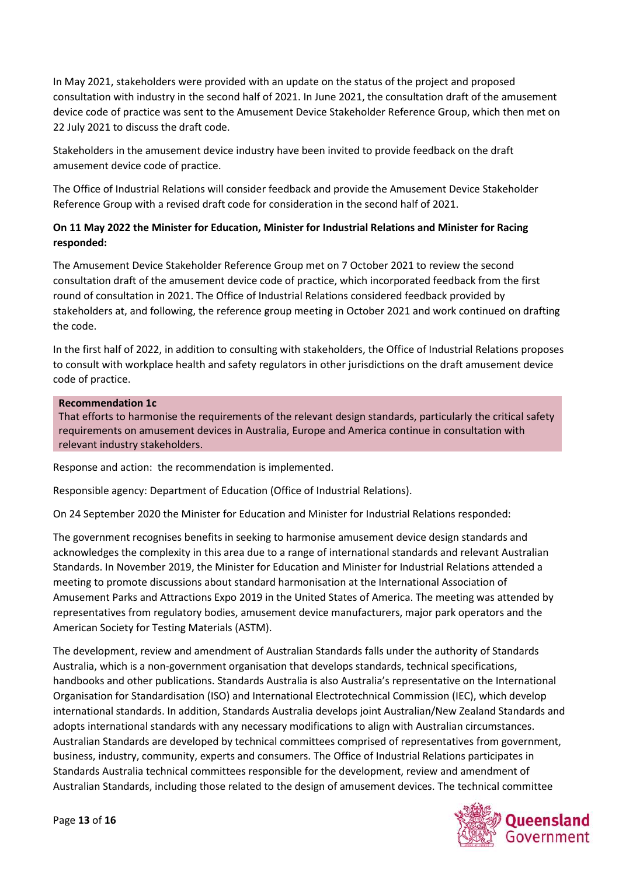In May 2021, stakeholders were provided with an update on the status of the project and proposed consultation with industry in the second half of 2021. In June 2021, the consultation draft of the amusement device code of practice was sent to the Amusement Device Stakeholder Reference Group, which then met on 22 July 2021 to discuss the draft code.

Stakeholders in the amusement device industry have been invited to provide feedback on the draft amusement device code of practice.

The Office of Industrial Relations will consider feedback and provide the Amusement Device Stakeholder Reference Group with a revised draft code for consideration in the second half of 2021.

## **On 11 May 2022 the Minister for Education, Minister for Industrial Relations and Minister for Racing responded:**

The Amusement Device Stakeholder Reference Group met on 7 October 2021 to review the second consultation draft of the amusement device code of practice, which incorporated feedback from the first round of consultation in 2021. The Office of Industrial Relations considered feedback provided by stakeholders at, and following, the reference group meeting in October 2021 and work continued on drafting the code.

In the first half of 2022, in addition to consulting with stakeholders, the Office of Industrial Relations proposes to consult with workplace health and safety regulators in other jurisdictions on the draft amusement device code of practice.

### **Recommendation 1c**

That efforts to harmonise the requirements of the relevant design standards, particularly the critical safety requirements on amusement devices in Australia, Europe and America continue in consultation with relevant industry stakeholders.

Response and action: the recommendation is implemented.

Responsible agency: Department of Education (Office of Industrial Relations).

On 24 September 2020 the Minister for Education and Minister for Industrial Relations responded:

The government recognises benefits in seeking to harmonise amusement device design standards and acknowledges the complexity in this area due to a range of international standards and relevant Australian Standards. In November 2019, the Minister for Education and Minister for Industrial Relations attended a meeting to promote discussions about standard harmonisation at the International Association of Amusement Parks and Attractions Expo 2019 in the United States of America. The meeting was attended by representatives from regulatory bodies, amusement device manufacturers, major park operators and the American Society for Testing Materials (ASTM).

The development, review and amendment of Australian Standards falls under the authority of Standards Australia, which is a non-government organisation that develops standards, technical specifications, handbooks and other publications. Standards Australia is also Australia's representative on the International Organisation for Standardisation (ISO) and International Electrotechnical Commission (IEC), which develop international standards. In addition, Standards Australia develops joint Australian/New Zealand Standards and adopts international standards with any necessary modifications to align with Australian circumstances. Australian Standards are developed by technical committees comprised of representatives from government, business, industry, community, experts and consumers. The Office of Industrial Relations participates in Standards Australia technical committees responsible for the development, review and amendment of Australian Standards, including those related to the design of amusement devices. The technical committee

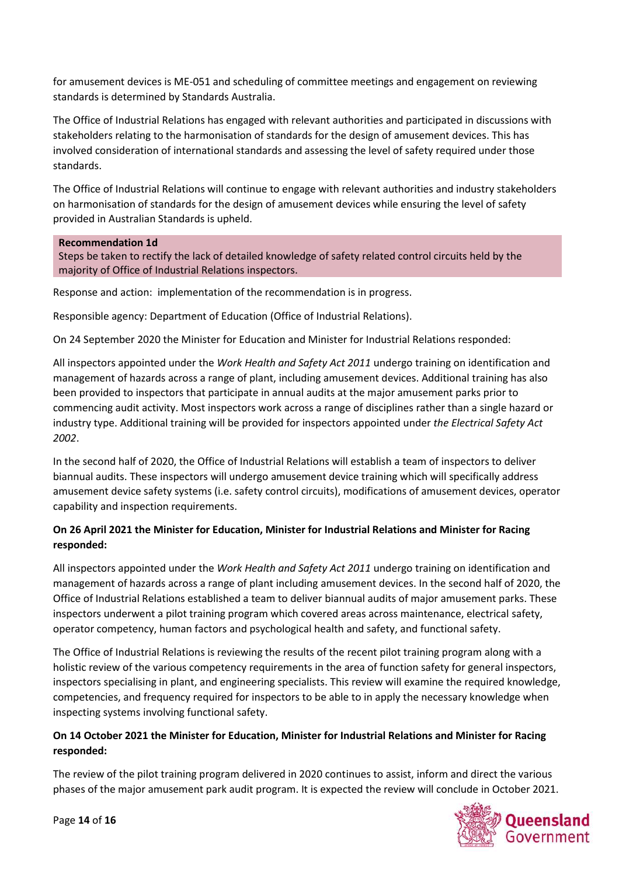for amusement devices is ME-051 and scheduling of committee meetings and engagement on reviewing standards is determined by Standards Australia.

The Office of Industrial Relations has engaged with relevant authorities and participated in discussions with stakeholders relating to the harmonisation of standards for the design of amusement devices. This has involved consideration of international standards and assessing the level of safety required under those standards.

The Office of Industrial Relations will continue to engage with relevant authorities and industry stakeholders on harmonisation of standards for the design of amusement devices while ensuring the level of safety provided in Australian Standards is upheld.

### **Recommendation 1d**

Steps be taken to rectify the lack of detailed knowledge of safety related control circuits held by the majority of Office of Industrial Relations inspectors.

Response and action: implementation of the recommendation is in progress.

Responsible agency: Department of Education (Office of Industrial Relations).

On 24 September 2020 the Minister for Education and Minister for Industrial Relations responded:

All inspectors appointed under the *Work Health and Safety Act 2011* undergo training on identification and management of hazards across a range of plant, including amusement devices. Additional training has also been provided to inspectors that participate in annual audits at the major amusement parks prior to commencing audit activity. Most inspectors work across a range of disciplines rather than a single hazard or industry type. Additional training will be provided for inspectors appointed under *the Electrical Safety Act 2002*.

In the second half of 2020, the Office of Industrial Relations will establish a team of inspectors to deliver biannual audits. These inspectors will undergo amusement device training which will specifically address amusement device safety systems (i.e. safety control circuits), modifications of amusement devices, operator capability and inspection requirements.

# **On 26 April 2021 the Minister for Education, Minister for Industrial Relations and Minister for Racing responded:**

All inspectors appointed under the *Work Health and Safety Act 2011* undergo training on identification and management of hazards across a range of plant including amusement devices. In the second half of 2020, the Office of Industrial Relations established a team to deliver biannual audits of major amusement parks. These inspectors underwent a pilot training program which covered areas across maintenance, electrical safety, operator competency, human factors and psychological health and safety, and functional safety.

The Office of Industrial Relations is reviewing the results of the recent pilot training program along with a holistic review of the various competency requirements in the area of function safety for general inspectors, inspectors specialising in plant, and engineering specialists. This review will examine the required knowledge, competencies, and frequency required for inspectors to be able to in apply the necessary knowledge when inspecting systems involving functional safety.

## **On 14 October 2021 the Minister for Education, Minister for Industrial Relations and Minister for Racing responded:**

The review of the pilot training program delivered in 2020 continues to assist, inform and direct the various phases of the major amusement park audit program. It is expected the review will conclude in October 2021.

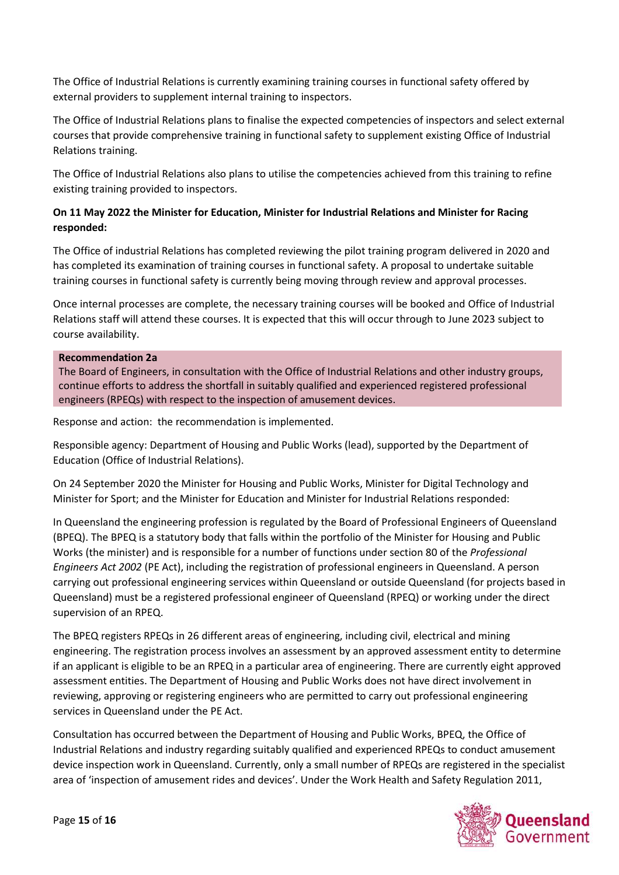The Office of Industrial Relations is currently examining training courses in functional safety offered by external providers to supplement internal training to inspectors.

The Office of Industrial Relations plans to finalise the expected competencies of inspectors and select external courses that provide comprehensive training in functional safety to supplement existing Office of Industrial Relations training.

The Office of Industrial Relations also plans to utilise the competencies achieved from this training to refine existing training provided to inspectors.

# **On 11 May 2022 the Minister for Education, Minister for Industrial Relations and Minister for Racing responded:**

The Office of industrial Relations has completed reviewing the pilot training program delivered in 2020 and has completed its examination of training courses in functional safety. A proposal to undertake suitable training courses in functional safety is currently being moving through review and approval processes.

Once internal processes are complete, the necessary training courses will be booked and Office of Industrial Relations staff will attend these courses. It is expected that this will occur through to June 2023 subject to course availability.

### **Recommendation 2a**

The Board of Engineers, in consultation with the Office of Industrial Relations and other industry groups, continue efforts to address the shortfall in suitably qualified and experienced registered professional engineers (RPEQs) with respect to the inspection of amusement devices.

Response and action: the recommendation is implemented.

Responsible agency: Department of Housing and Public Works (lead), supported by the Department of Education (Office of Industrial Relations).

On 24 September 2020 the Minister for Housing and Public Works, Minister for Digital Technology and Minister for Sport; and the Minister for Education and Minister for Industrial Relations responded:

In Queensland the engineering profession is regulated by the Board of Professional Engineers of Queensland (BPEQ). The BPEQ is a statutory body that falls within the portfolio of the Minister for Housing and Public Works (the minister) and is responsible for a number of functions under section 80 of the *Professional Engineers Act 2002* (PE Act), including the registration of professional engineers in Queensland. A person carrying out professional engineering services within Queensland or outside Queensland (for projects based in Queensland) must be a registered professional engineer of Queensland (RPEQ) or working under the direct supervision of an RPEQ.

The BPEQ registers RPEQs in 26 different areas of engineering, including civil, electrical and mining engineering. The registration process involves an assessment by an approved assessment entity to determine if an applicant is eligible to be an RPEQ in a particular area of engineering. There are currently eight approved assessment entities. The Department of Housing and Public Works does not have direct involvement in reviewing, approving or registering engineers who are permitted to carry out professional engineering services in Queensland under the PE Act.

Consultation has occurred between the Department of Housing and Public Works, BPEQ, the Office of Industrial Relations and industry regarding suitably qualified and experienced RPEQs to conduct amusement device inspection work in Queensland. Currently, only a small number of RPEQs are registered in the specialist area of 'inspection of amusement rides and devices'. Under the Work Health and Safety Regulation 2011,